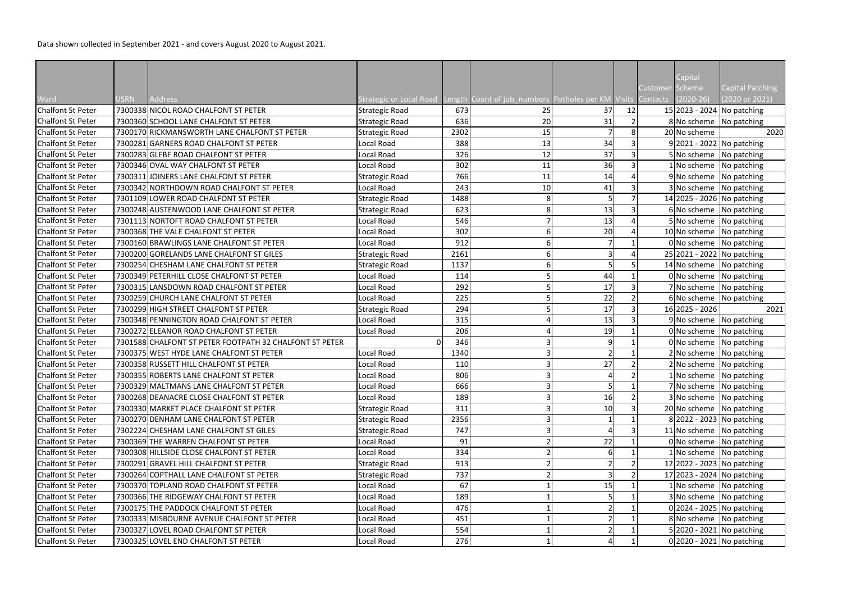| Capital<br>Customer Scheme<br><b>Capital Patching</b><br>(2020 or 2021)<br>Ward<br>Address<br>Strategic or Local Road Length Count of job numbers Potholes per KM Visits Contacts<br>$(2020-26)$<br><b>USRN</b><br>7300338 NICOL ROAD CHALFONT ST PETER<br><b>Chalfont St Peter</b><br>673<br>37<br>12<br>15 2023 - 2024 No patching<br><b>Strategic Road</b><br>25<br>7300360 SCHOOL LANE CHALFONT ST PETER<br><b>Strategic Road</b><br>20<br>31<br><b>Chalfont St Peter</b><br>8 No scheme No patching<br>636<br>20 No scheme<br><b>Chalfont St Peter</b><br>7300170 RICKMANSWORTH LANE CHALFONT ST PETER<br><b>Strategic Road</b><br>2302<br>15<br>2020<br>34<br>9 2021 - 2022 No patching<br><b>Chalfont St Peter</b><br>7300281 GARNERS ROAD CHALFONT ST PETER<br>Local Road<br>388<br>13<br>37<br>7300283 GLEBE ROAD CHALFONT ST PETER<br>326<br>5 No scheme No patching<br><b>Chalfont St Peter</b><br>Local Road<br>12<br>36<br><b>Chalfont St Peter</b><br>302<br>1 No scheme No patching<br>7300346 OVAL WAY CHALFONT ST PETER<br>Local Road<br>11<br>7300311 JOINERS LANE CHALFONT ST PETER<br><b>Strategic Road</b><br>9 No scheme No patching<br>Chalfont St Peter<br>766<br>14<br>11<br><b>Chalfont St Peter</b><br>7300342 NORTHDOWN ROAD CHALFONT ST PETER<br>Local Road<br>243<br>41<br>3 No scheme   No patching<br>10<br><b>Chalfont St Peter</b><br>7301109 LOWER ROAD CHALFONT ST PETER<br><b>Strategic Road</b><br>14 2025 - 2026 No patching<br>1488<br>13<br>7300248 AUSTENWOOD LANE CHALFONT ST PETER<br><b>Strategic Road</b><br>6 No scheme No patching<br><b>Chalfont St Peter</b><br>623<br>13<br><b>Chalfont St Peter</b><br>7301113 NORTOFT ROAD CHALFONT ST PETER<br>5 No scheme No patching<br>Local Road<br>546<br>20<br>7300368 THE VALE CHALFONT ST PETER<br>302<br>Chalfont St Peter<br>Local Road<br>10 No scheme No patching<br><b>Chalfont St Peter</b><br>7300160 BRAWLINGS LANE CHALFONT ST PETER<br>Local Road<br>912<br>0 No scheme   No patching<br>25 2021 - 2022 No patching<br><b>Chalfont St Peter</b><br>7300200 GORELANDS LANE CHALFONT ST GILES<br><b>Strategic Road</b><br>2161<br>7300254 CHESHAM LANE CHALFONT ST PETER<br><b>Chalfont St Peter</b><br><b>Strategic Road</b><br>14 No scheme No patching<br>1137<br>Chalfont St Peter<br>44<br>0 No scheme No patching<br>7300349 PETERHILL CLOSE CHALFONT ST PETER<br>Local Road<br>114<br>7300315 LANSDOWN ROAD CHALFONT ST PETER<br>Local Road<br>17<br>7 No scheme No patching<br>Chalfont St Peter<br>292<br>22<br>7300259 CHURCH LANE CHALFONT ST PETER<br>225<br><b>Chalfont St Peter</b><br>Local Road<br>6 No scheme No patching<br>17<br>7300299 HIGH STREET CHALFONT ST PETER<br><b>Chalfont St Peter</b><br><b>Strategic Road</b><br>294<br>16 2025 - 2026<br>2021<br>13<br>7300348 PENNINGTON ROAD CHALFONT ST PETER<br>Local Road<br>9 No scheme No patching<br><b>Chalfont St Peter</b><br>315<br>Chalfont St Peter<br>206<br>19<br>0 No scheme No patching<br>7300272 ELEANOR ROAD CHALFONT ST PETER<br>Local Road<br>Chalfont St Peter<br>7301588 CHALFONT ST PETER FOOTPATH 32 CHALFONT ST PETER<br>346<br>0 No scheme No patching<br>q<br>ΩI<br><b>Chalfont St Peter</b><br>7300375 WEST HYDE LANE CHALFONT ST PETER<br>Local Road<br>1340<br>2 No scheme   No patching<br>Chalfont St Peter<br>27<br>$2 No scheme$ No patching<br>7300358 RUSSETT HILL CHALFONT ST PETER<br>Local Road<br>110<br>806<br>7300355 ROBERTS LANE CHALFONT ST PETER<br><b>Chalfont St Peter</b><br>Local Road<br>$1$ No scheme No patching<br>666<br><b>Chalfont St Peter</b><br>7300329 MALTMANS LANE CHALFONT ST PETER<br>Local Road<br>7 No scheme No patching<br>16<br><b>Chalfont St Peter</b><br>7300268 DEANACRE CLOSE CHALFONT ST PETER<br>Local Road<br>189<br>3 No scheme No patching<br>10 <sup>1</sup><br>20 No scheme No patching<br><b>Chalfont St Peter</b><br>7300330 MARKET PLACE CHALFONT ST PETER<br>Strategic Road<br>311<br><b>Chalfont St Peter</b><br>7300270 DENHAM LANE CHALFONT ST PETER<br>8 2022 - 2023   No patching<br><b>Strategic Road</b><br>2356<br><b>Chalfont St Peter</b><br>7302224 CHESHAM LANE CHALFONT ST GILES<br><b>Strategic Road</b><br>747<br>11 No scheme $\sqrt{\frac{1}{10}}$ patching<br>22<br><b>Chalfont St Peter</b><br>7300369 THE WARREN CHALFONT ST PETER<br>Local Road<br>0 No scheme No patching<br>91<br><b>Chalfont St Peter</b><br>7300308 HILLSIDE CLOSE CHALFONT ST PETER<br>Local Road<br>$1$ No scheme No patching<br>334<br><b>Chalfont St Peter</b><br>7300291 GRAVEL HILL CHALFONT ST PETER<br>12 2022 - 2023 No patching<br>Strategic Road<br>913<br><b>Chalfont St Peter</b><br>7300264 COPTHALL LANE CHALFONT ST PETER<br><b>Strategic Road</b><br>17 2023 - 2024 No patching<br>737<br>7300370 TOPLAND ROAD CHALFONT ST PETER<br>Local Road<br>67<br>15<br>1 No scheme No patching<br><b>Chalfont St Peter</b><br><b>Chalfont St Peter</b><br>7300366 THE RIDGEWAY CHALFONT ST PETER<br>Local Road<br>189<br>3 No scheme No patching<br><b>Chalfont St Peter</b><br>7300175 THE PADDOCK CHALFONT ST PETER<br>$0 2024 - 2025 $ No patching<br>Local Road<br>476<br>8 No scheme No patching<br><b>Chalfont St Peter</b><br>7300333 MISBOURNE AVENUE CHALFONT ST PETER<br>Local Road<br>451<br>5 2020 - 2021 No patching<br><b>Chalfont St Peter</b><br>7300327 LOVEL ROAD CHALFONT ST PETER<br>Local Road<br>554<br>$0 2020 - 2021 $ No patching<br>7300325 LOVEL END CHALFONT ST PETER<br>276<br><b>Chalfont St Peter</b><br>Local Road |  |  |  |  |  |  |
|----------------------------------------------------------------------------------------------------------------------------------------------------------------------------------------------------------------------------------------------------------------------------------------------------------------------------------------------------------------------------------------------------------------------------------------------------------------------------------------------------------------------------------------------------------------------------------------------------------------------------------------------------------------------------------------------------------------------------------------------------------------------------------------------------------------------------------------------------------------------------------------------------------------------------------------------------------------------------------------------------------------------------------------------------------------------------------------------------------------------------------------------------------------------------------------------------------------------------------------------------------------------------------------------------------------------------------------------------------------------------------------------------------------------------------------------------------------------------------------------------------------------------------------------------------------------------------------------------------------------------------------------------------------------------------------------------------------------------------------------------------------------------------------------------------------------------------------------------------------------------------------------------------------------------------------------------------------------------------------------------------------------------------------------------------------------------------------------------------------------------------------------------------------------------------------------------------------------------------------------------------------------------------------------------------------------------------------------------------------------------------------------------------------------------------------------------------------------------------------------------------------------------------------------------------------------------------------------------------------------------------------------------------------------------------------------------------------------------------------------------------------------------------------------------------------------------------------------------------------------------------------------------------------------------------------------------------------------------------------------------------------------------------------------------------------------------------------------------------------------------------------------------------------------------------------------------------------------------------------------------------------------------------------------------------------------------------------------------------------------------------------------------------------------------------------------------------------------------------------------------------------------------------------------------------------------------------------------------------------------------------------------------------------------------------------------------------------------------------------------------------------------------------------------------------------------------------------------------------------------------------------------------------------------------------------------------------------------------------------------------------------------------------------------------------------------------------------------------------------------------------------------------------------------------------------------------------------------------------------------------------------------------------------------------------------------------------------------------------------------------------------------------------------------------------------------------------------------------------------------------------------------------------------------------------------------------------------------------------------------------------------------------------------------------------------------------------------------------------------------------------------------------------------------------------------------------------------------------------------------------------------------------------------------------------------------------------------------------------------------------------------------------------------------------------------------------------------------------------------------------------------------------------------------------------------------------------------------------------------------------------------------------------------------------------------------------------------------------------------------------------------------------------------------------------------------------------------------------------------------------------------------|--|--|--|--|--|--|
|                                                                                                                                                                                                                                                                                                                                                                                                                                                                                                                                                                                                                                                                                                                                                                                                                                                                                                                                                                                                                                                                                                                                                                                                                                                                                                                                                                                                                                                                                                                                                                                                                                                                                                                                                                                                                                                                                                                                                                                                                                                                                                                                                                                                                                                                                                                                                                                                                                                                                                                                                                                                                                                                                                                                                                                                                                                                                                                                                                                                                                                                                                                                                                                                                                                                                                                                                                                                                                                                                                                                                                                                                                                                                                                                                                                                                                                                                                                                                                                                                                                                                                                                                                                                                                                                                                                                                                                                                                                                                                                                                                                                                                                                                                                                                                                                                                                                                                                                                                                                                                                                                                                                                                                                                                                                                                                                                                                                                                                                                                                      |  |  |  |  |  |  |
|                                                                                                                                                                                                                                                                                                                                                                                                                                                                                                                                                                                                                                                                                                                                                                                                                                                                                                                                                                                                                                                                                                                                                                                                                                                                                                                                                                                                                                                                                                                                                                                                                                                                                                                                                                                                                                                                                                                                                                                                                                                                                                                                                                                                                                                                                                                                                                                                                                                                                                                                                                                                                                                                                                                                                                                                                                                                                                                                                                                                                                                                                                                                                                                                                                                                                                                                                                                                                                                                                                                                                                                                                                                                                                                                                                                                                                                                                                                                                                                                                                                                                                                                                                                                                                                                                                                                                                                                                                                                                                                                                                                                                                                                                                                                                                                                                                                                                                                                                                                                                                                                                                                                                                                                                                                                                                                                                                                                                                                                                                                      |  |  |  |  |  |  |
|                                                                                                                                                                                                                                                                                                                                                                                                                                                                                                                                                                                                                                                                                                                                                                                                                                                                                                                                                                                                                                                                                                                                                                                                                                                                                                                                                                                                                                                                                                                                                                                                                                                                                                                                                                                                                                                                                                                                                                                                                                                                                                                                                                                                                                                                                                                                                                                                                                                                                                                                                                                                                                                                                                                                                                                                                                                                                                                                                                                                                                                                                                                                                                                                                                                                                                                                                                                                                                                                                                                                                                                                                                                                                                                                                                                                                                                                                                                                                                                                                                                                                                                                                                                                                                                                                                                                                                                                                                                                                                                                                                                                                                                                                                                                                                                                                                                                                                                                                                                                                                                                                                                                                                                                                                                                                                                                                                                                                                                                                                                      |  |  |  |  |  |  |
|                                                                                                                                                                                                                                                                                                                                                                                                                                                                                                                                                                                                                                                                                                                                                                                                                                                                                                                                                                                                                                                                                                                                                                                                                                                                                                                                                                                                                                                                                                                                                                                                                                                                                                                                                                                                                                                                                                                                                                                                                                                                                                                                                                                                                                                                                                                                                                                                                                                                                                                                                                                                                                                                                                                                                                                                                                                                                                                                                                                                                                                                                                                                                                                                                                                                                                                                                                                                                                                                                                                                                                                                                                                                                                                                                                                                                                                                                                                                                                                                                                                                                                                                                                                                                                                                                                                                                                                                                                                                                                                                                                                                                                                                                                                                                                                                                                                                                                                                                                                                                                                                                                                                                                                                                                                                                                                                                                                                                                                                                                                      |  |  |  |  |  |  |
|                                                                                                                                                                                                                                                                                                                                                                                                                                                                                                                                                                                                                                                                                                                                                                                                                                                                                                                                                                                                                                                                                                                                                                                                                                                                                                                                                                                                                                                                                                                                                                                                                                                                                                                                                                                                                                                                                                                                                                                                                                                                                                                                                                                                                                                                                                                                                                                                                                                                                                                                                                                                                                                                                                                                                                                                                                                                                                                                                                                                                                                                                                                                                                                                                                                                                                                                                                                                                                                                                                                                                                                                                                                                                                                                                                                                                                                                                                                                                                                                                                                                                                                                                                                                                                                                                                                                                                                                                                                                                                                                                                                                                                                                                                                                                                                                                                                                                                                                                                                                                                                                                                                                                                                                                                                                                                                                                                                                                                                                                                                      |  |  |  |  |  |  |
|                                                                                                                                                                                                                                                                                                                                                                                                                                                                                                                                                                                                                                                                                                                                                                                                                                                                                                                                                                                                                                                                                                                                                                                                                                                                                                                                                                                                                                                                                                                                                                                                                                                                                                                                                                                                                                                                                                                                                                                                                                                                                                                                                                                                                                                                                                                                                                                                                                                                                                                                                                                                                                                                                                                                                                                                                                                                                                                                                                                                                                                                                                                                                                                                                                                                                                                                                                                                                                                                                                                                                                                                                                                                                                                                                                                                                                                                                                                                                                                                                                                                                                                                                                                                                                                                                                                                                                                                                                                                                                                                                                                                                                                                                                                                                                                                                                                                                                                                                                                                                                                                                                                                                                                                                                                                                                                                                                                                                                                                                                                      |  |  |  |  |  |  |
|                                                                                                                                                                                                                                                                                                                                                                                                                                                                                                                                                                                                                                                                                                                                                                                                                                                                                                                                                                                                                                                                                                                                                                                                                                                                                                                                                                                                                                                                                                                                                                                                                                                                                                                                                                                                                                                                                                                                                                                                                                                                                                                                                                                                                                                                                                                                                                                                                                                                                                                                                                                                                                                                                                                                                                                                                                                                                                                                                                                                                                                                                                                                                                                                                                                                                                                                                                                                                                                                                                                                                                                                                                                                                                                                                                                                                                                                                                                                                                                                                                                                                                                                                                                                                                                                                                                                                                                                                                                                                                                                                                                                                                                                                                                                                                                                                                                                                                                                                                                                                                                                                                                                                                                                                                                                                                                                                                                                                                                                                                                      |  |  |  |  |  |  |
|                                                                                                                                                                                                                                                                                                                                                                                                                                                                                                                                                                                                                                                                                                                                                                                                                                                                                                                                                                                                                                                                                                                                                                                                                                                                                                                                                                                                                                                                                                                                                                                                                                                                                                                                                                                                                                                                                                                                                                                                                                                                                                                                                                                                                                                                                                                                                                                                                                                                                                                                                                                                                                                                                                                                                                                                                                                                                                                                                                                                                                                                                                                                                                                                                                                                                                                                                                                                                                                                                                                                                                                                                                                                                                                                                                                                                                                                                                                                                                                                                                                                                                                                                                                                                                                                                                                                                                                                                                                                                                                                                                                                                                                                                                                                                                                                                                                                                                                                                                                                                                                                                                                                                                                                                                                                                                                                                                                                                                                                                                                      |  |  |  |  |  |  |
|                                                                                                                                                                                                                                                                                                                                                                                                                                                                                                                                                                                                                                                                                                                                                                                                                                                                                                                                                                                                                                                                                                                                                                                                                                                                                                                                                                                                                                                                                                                                                                                                                                                                                                                                                                                                                                                                                                                                                                                                                                                                                                                                                                                                                                                                                                                                                                                                                                                                                                                                                                                                                                                                                                                                                                                                                                                                                                                                                                                                                                                                                                                                                                                                                                                                                                                                                                                                                                                                                                                                                                                                                                                                                                                                                                                                                                                                                                                                                                                                                                                                                                                                                                                                                                                                                                                                                                                                                                                                                                                                                                                                                                                                                                                                                                                                                                                                                                                                                                                                                                                                                                                                                                                                                                                                                                                                                                                                                                                                                                                      |  |  |  |  |  |  |
|                                                                                                                                                                                                                                                                                                                                                                                                                                                                                                                                                                                                                                                                                                                                                                                                                                                                                                                                                                                                                                                                                                                                                                                                                                                                                                                                                                                                                                                                                                                                                                                                                                                                                                                                                                                                                                                                                                                                                                                                                                                                                                                                                                                                                                                                                                                                                                                                                                                                                                                                                                                                                                                                                                                                                                                                                                                                                                                                                                                                                                                                                                                                                                                                                                                                                                                                                                                                                                                                                                                                                                                                                                                                                                                                                                                                                                                                                                                                                                                                                                                                                                                                                                                                                                                                                                                                                                                                                                                                                                                                                                                                                                                                                                                                                                                                                                                                                                                                                                                                                                                                                                                                                                                                                                                                                                                                                                                                                                                                                                                      |  |  |  |  |  |  |
|                                                                                                                                                                                                                                                                                                                                                                                                                                                                                                                                                                                                                                                                                                                                                                                                                                                                                                                                                                                                                                                                                                                                                                                                                                                                                                                                                                                                                                                                                                                                                                                                                                                                                                                                                                                                                                                                                                                                                                                                                                                                                                                                                                                                                                                                                                                                                                                                                                                                                                                                                                                                                                                                                                                                                                                                                                                                                                                                                                                                                                                                                                                                                                                                                                                                                                                                                                                                                                                                                                                                                                                                                                                                                                                                                                                                                                                                                                                                                                                                                                                                                                                                                                                                                                                                                                                                                                                                                                                                                                                                                                                                                                                                                                                                                                                                                                                                                                                                                                                                                                                                                                                                                                                                                                                                                                                                                                                                                                                                                                                      |  |  |  |  |  |  |
|                                                                                                                                                                                                                                                                                                                                                                                                                                                                                                                                                                                                                                                                                                                                                                                                                                                                                                                                                                                                                                                                                                                                                                                                                                                                                                                                                                                                                                                                                                                                                                                                                                                                                                                                                                                                                                                                                                                                                                                                                                                                                                                                                                                                                                                                                                                                                                                                                                                                                                                                                                                                                                                                                                                                                                                                                                                                                                                                                                                                                                                                                                                                                                                                                                                                                                                                                                                                                                                                                                                                                                                                                                                                                                                                                                                                                                                                                                                                                                                                                                                                                                                                                                                                                                                                                                                                                                                                                                                                                                                                                                                                                                                                                                                                                                                                                                                                                                                                                                                                                                                                                                                                                                                                                                                                                                                                                                                                                                                                                                                      |  |  |  |  |  |  |
|                                                                                                                                                                                                                                                                                                                                                                                                                                                                                                                                                                                                                                                                                                                                                                                                                                                                                                                                                                                                                                                                                                                                                                                                                                                                                                                                                                                                                                                                                                                                                                                                                                                                                                                                                                                                                                                                                                                                                                                                                                                                                                                                                                                                                                                                                                                                                                                                                                                                                                                                                                                                                                                                                                                                                                                                                                                                                                                                                                                                                                                                                                                                                                                                                                                                                                                                                                                                                                                                                                                                                                                                                                                                                                                                                                                                                                                                                                                                                                                                                                                                                                                                                                                                                                                                                                                                                                                                                                                                                                                                                                                                                                                                                                                                                                                                                                                                                                                                                                                                                                                                                                                                                                                                                                                                                                                                                                                                                                                                                                                      |  |  |  |  |  |  |
|                                                                                                                                                                                                                                                                                                                                                                                                                                                                                                                                                                                                                                                                                                                                                                                                                                                                                                                                                                                                                                                                                                                                                                                                                                                                                                                                                                                                                                                                                                                                                                                                                                                                                                                                                                                                                                                                                                                                                                                                                                                                                                                                                                                                                                                                                                                                                                                                                                                                                                                                                                                                                                                                                                                                                                                                                                                                                                                                                                                                                                                                                                                                                                                                                                                                                                                                                                                                                                                                                                                                                                                                                                                                                                                                                                                                                                                                                                                                                                                                                                                                                                                                                                                                                                                                                                                                                                                                                                                                                                                                                                                                                                                                                                                                                                                                                                                                                                                                                                                                                                                                                                                                                                                                                                                                                                                                                                                                                                                                                                                      |  |  |  |  |  |  |
|                                                                                                                                                                                                                                                                                                                                                                                                                                                                                                                                                                                                                                                                                                                                                                                                                                                                                                                                                                                                                                                                                                                                                                                                                                                                                                                                                                                                                                                                                                                                                                                                                                                                                                                                                                                                                                                                                                                                                                                                                                                                                                                                                                                                                                                                                                                                                                                                                                                                                                                                                                                                                                                                                                                                                                                                                                                                                                                                                                                                                                                                                                                                                                                                                                                                                                                                                                                                                                                                                                                                                                                                                                                                                                                                                                                                                                                                                                                                                                                                                                                                                                                                                                                                                                                                                                                                                                                                                                                                                                                                                                                                                                                                                                                                                                                                                                                                                                                                                                                                                                                                                                                                                                                                                                                                                                                                                                                                                                                                                                                      |  |  |  |  |  |  |
|                                                                                                                                                                                                                                                                                                                                                                                                                                                                                                                                                                                                                                                                                                                                                                                                                                                                                                                                                                                                                                                                                                                                                                                                                                                                                                                                                                                                                                                                                                                                                                                                                                                                                                                                                                                                                                                                                                                                                                                                                                                                                                                                                                                                                                                                                                                                                                                                                                                                                                                                                                                                                                                                                                                                                                                                                                                                                                                                                                                                                                                                                                                                                                                                                                                                                                                                                                                                                                                                                                                                                                                                                                                                                                                                                                                                                                                                                                                                                                                                                                                                                                                                                                                                                                                                                                                                                                                                                                                                                                                                                                                                                                                                                                                                                                                                                                                                                                                                                                                                                                                                                                                                                                                                                                                                                                                                                                                                                                                                                                                      |  |  |  |  |  |  |
|                                                                                                                                                                                                                                                                                                                                                                                                                                                                                                                                                                                                                                                                                                                                                                                                                                                                                                                                                                                                                                                                                                                                                                                                                                                                                                                                                                                                                                                                                                                                                                                                                                                                                                                                                                                                                                                                                                                                                                                                                                                                                                                                                                                                                                                                                                                                                                                                                                                                                                                                                                                                                                                                                                                                                                                                                                                                                                                                                                                                                                                                                                                                                                                                                                                                                                                                                                                                                                                                                                                                                                                                                                                                                                                                                                                                                                                                                                                                                                                                                                                                                                                                                                                                                                                                                                                                                                                                                                                                                                                                                                                                                                                                                                                                                                                                                                                                                                                                                                                                                                                                                                                                                                                                                                                                                                                                                                                                                                                                                                                      |  |  |  |  |  |  |
|                                                                                                                                                                                                                                                                                                                                                                                                                                                                                                                                                                                                                                                                                                                                                                                                                                                                                                                                                                                                                                                                                                                                                                                                                                                                                                                                                                                                                                                                                                                                                                                                                                                                                                                                                                                                                                                                                                                                                                                                                                                                                                                                                                                                                                                                                                                                                                                                                                                                                                                                                                                                                                                                                                                                                                                                                                                                                                                                                                                                                                                                                                                                                                                                                                                                                                                                                                                                                                                                                                                                                                                                                                                                                                                                                                                                                                                                                                                                                                                                                                                                                                                                                                                                                                                                                                                                                                                                                                                                                                                                                                                                                                                                                                                                                                                                                                                                                                                                                                                                                                                                                                                                                                                                                                                                                                                                                                                                                                                                                                                      |  |  |  |  |  |  |
|                                                                                                                                                                                                                                                                                                                                                                                                                                                                                                                                                                                                                                                                                                                                                                                                                                                                                                                                                                                                                                                                                                                                                                                                                                                                                                                                                                                                                                                                                                                                                                                                                                                                                                                                                                                                                                                                                                                                                                                                                                                                                                                                                                                                                                                                                                                                                                                                                                                                                                                                                                                                                                                                                                                                                                                                                                                                                                                                                                                                                                                                                                                                                                                                                                                                                                                                                                                                                                                                                                                                                                                                                                                                                                                                                                                                                                                                                                                                                                                                                                                                                                                                                                                                                                                                                                                                                                                                                                                                                                                                                                                                                                                                                                                                                                                                                                                                                                                                                                                                                                                                                                                                                                                                                                                                                                                                                                                                                                                                                                                      |  |  |  |  |  |  |
|                                                                                                                                                                                                                                                                                                                                                                                                                                                                                                                                                                                                                                                                                                                                                                                                                                                                                                                                                                                                                                                                                                                                                                                                                                                                                                                                                                                                                                                                                                                                                                                                                                                                                                                                                                                                                                                                                                                                                                                                                                                                                                                                                                                                                                                                                                                                                                                                                                                                                                                                                                                                                                                                                                                                                                                                                                                                                                                                                                                                                                                                                                                                                                                                                                                                                                                                                                                                                                                                                                                                                                                                                                                                                                                                                                                                                                                                                                                                                                                                                                                                                                                                                                                                                                                                                                                                                                                                                                                                                                                                                                                                                                                                                                                                                                                                                                                                                                                                                                                                                                                                                                                                                                                                                                                                                                                                                                                                                                                                                                                      |  |  |  |  |  |  |
|                                                                                                                                                                                                                                                                                                                                                                                                                                                                                                                                                                                                                                                                                                                                                                                                                                                                                                                                                                                                                                                                                                                                                                                                                                                                                                                                                                                                                                                                                                                                                                                                                                                                                                                                                                                                                                                                                                                                                                                                                                                                                                                                                                                                                                                                                                                                                                                                                                                                                                                                                                                                                                                                                                                                                                                                                                                                                                                                                                                                                                                                                                                                                                                                                                                                                                                                                                                                                                                                                                                                                                                                                                                                                                                                                                                                                                                                                                                                                                                                                                                                                                                                                                                                                                                                                                                                                                                                                                                                                                                                                                                                                                                                                                                                                                                                                                                                                                                                                                                                                                                                                                                                                                                                                                                                                                                                                                                                                                                                                                                      |  |  |  |  |  |  |
|                                                                                                                                                                                                                                                                                                                                                                                                                                                                                                                                                                                                                                                                                                                                                                                                                                                                                                                                                                                                                                                                                                                                                                                                                                                                                                                                                                                                                                                                                                                                                                                                                                                                                                                                                                                                                                                                                                                                                                                                                                                                                                                                                                                                                                                                                                                                                                                                                                                                                                                                                                                                                                                                                                                                                                                                                                                                                                                                                                                                                                                                                                                                                                                                                                                                                                                                                                                                                                                                                                                                                                                                                                                                                                                                                                                                                                                                                                                                                                                                                                                                                                                                                                                                                                                                                                                                                                                                                                                                                                                                                                                                                                                                                                                                                                                                                                                                                                                                                                                                                                                                                                                                                                                                                                                                                                                                                                                                                                                                                                                      |  |  |  |  |  |  |
|                                                                                                                                                                                                                                                                                                                                                                                                                                                                                                                                                                                                                                                                                                                                                                                                                                                                                                                                                                                                                                                                                                                                                                                                                                                                                                                                                                                                                                                                                                                                                                                                                                                                                                                                                                                                                                                                                                                                                                                                                                                                                                                                                                                                                                                                                                                                                                                                                                                                                                                                                                                                                                                                                                                                                                                                                                                                                                                                                                                                                                                                                                                                                                                                                                                                                                                                                                                                                                                                                                                                                                                                                                                                                                                                                                                                                                                                                                                                                                                                                                                                                                                                                                                                                                                                                                                                                                                                                                                                                                                                                                                                                                                                                                                                                                                                                                                                                                                                                                                                                                                                                                                                                                                                                                                                                                                                                                                                                                                                                                                      |  |  |  |  |  |  |
|                                                                                                                                                                                                                                                                                                                                                                                                                                                                                                                                                                                                                                                                                                                                                                                                                                                                                                                                                                                                                                                                                                                                                                                                                                                                                                                                                                                                                                                                                                                                                                                                                                                                                                                                                                                                                                                                                                                                                                                                                                                                                                                                                                                                                                                                                                                                                                                                                                                                                                                                                                                                                                                                                                                                                                                                                                                                                                                                                                                                                                                                                                                                                                                                                                                                                                                                                                                                                                                                                                                                                                                                                                                                                                                                                                                                                                                                                                                                                                                                                                                                                                                                                                                                                                                                                                                                                                                                                                                                                                                                                                                                                                                                                                                                                                                                                                                                                                                                                                                                                                                                                                                                                                                                                                                                                                                                                                                                                                                                                                                      |  |  |  |  |  |  |
|                                                                                                                                                                                                                                                                                                                                                                                                                                                                                                                                                                                                                                                                                                                                                                                                                                                                                                                                                                                                                                                                                                                                                                                                                                                                                                                                                                                                                                                                                                                                                                                                                                                                                                                                                                                                                                                                                                                                                                                                                                                                                                                                                                                                                                                                                                                                                                                                                                                                                                                                                                                                                                                                                                                                                                                                                                                                                                                                                                                                                                                                                                                                                                                                                                                                                                                                                                                                                                                                                                                                                                                                                                                                                                                                                                                                                                                                                                                                                                                                                                                                                                                                                                                                                                                                                                                                                                                                                                                                                                                                                                                                                                                                                                                                                                                                                                                                                                                                                                                                                                                                                                                                                                                                                                                                                                                                                                                                                                                                                                                      |  |  |  |  |  |  |
|                                                                                                                                                                                                                                                                                                                                                                                                                                                                                                                                                                                                                                                                                                                                                                                                                                                                                                                                                                                                                                                                                                                                                                                                                                                                                                                                                                                                                                                                                                                                                                                                                                                                                                                                                                                                                                                                                                                                                                                                                                                                                                                                                                                                                                                                                                                                                                                                                                                                                                                                                                                                                                                                                                                                                                                                                                                                                                                                                                                                                                                                                                                                                                                                                                                                                                                                                                                                                                                                                                                                                                                                                                                                                                                                                                                                                                                                                                                                                                                                                                                                                                                                                                                                                                                                                                                                                                                                                                                                                                                                                                                                                                                                                                                                                                                                                                                                                                                                                                                                                                                                                                                                                                                                                                                                                                                                                                                                                                                                                                                      |  |  |  |  |  |  |
|                                                                                                                                                                                                                                                                                                                                                                                                                                                                                                                                                                                                                                                                                                                                                                                                                                                                                                                                                                                                                                                                                                                                                                                                                                                                                                                                                                                                                                                                                                                                                                                                                                                                                                                                                                                                                                                                                                                                                                                                                                                                                                                                                                                                                                                                                                                                                                                                                                                                                                                                                                                                                                                                                                                                                                                                                                                                                                                                                                                                                                                                                                                                                                                                                                                                                                                                                                                                                                                                                                                                                                                                                                                                                                                                                                                                                                                                                                                                                                                                                                                                                                                                                                                                                                                                                                                                                                                                                                                                                                                                                                                                                                                                                                                                                                                                                                                                                                                                                                                                                                                                                                                                                                                                                                                                                                                                                                                                                                                                                                                      |  |  |  |  |  |  |
|                                                                                                                                                                                                                                                                                                                                                                                                                                                                                                                                                                                                                                                                                                                                                                                                                                                                                                                                                                                                                                                                                                                                                                                                                                                                                                                                                                                                                                                                                                                                                                                                                                                                                                                                                                                                                                                                                                                                                                                                                                                                                                                                                                                                                                                                                                                                                                                                                                                                                                                                                                                                                                                                                                                                                                                                                                                                                                                                                                                                                                                                                                                                                                                                                                                                                                                                                                                                                                                                                                                                                                                                                                                                                                                                                                                                                                                                                                                                                                                                                                                                                                                                                                                                                                                                                                                                                                                                                                                                                                                                                                                                                                                                                                                                                                                                                                                                                                                                                                                                                                                                                                                                                                                                                                                                                                                                                                                                                                                                                                                      |  |  |  |  |  |  |
|                                                                                                                                                                                                                                                                                                                                                                                                                                                                                                                                                                                                                                                                                                                                                                                                                                                                                                                                                                                                                                                                                                                                                                                                                                                                                                                                                                                                                                                                                                                                                                                                                                                                                                                                                                                                                                                                                                                                                                                                                                                                                                                                                                                                                                                                                                                                                                                                                                                                                                                                                                                                                                                                                                                                                                                                                                                                                                                                                                                                                                                                                                                                                                                                                                                                                                                                                                                                                                                                                                                                                                                                                                                                                                                                                                                                                                                                                                                                                                                                                                                                                                                                                                                                                                                                                                                                                                                                                                                                                                                                                                                                                                                                                                                                                                                                                                                                                                                                                                                                                                                                                                                                                                                                                                                                                                                                                                                                                                                                                                                      |  |  |  |  |  |  |
|                                                                                                                                                                                                                                                                                                                                                                                                                                                                                                                                                                                                                                                                                                                                                                                                                                                                                                                                                                                                                                                                                                                                                                                                                                                                                                                                                                                                                                                                                                                                                                                                                                                                                                                                                                                                                                                                                                                                                                                                                                                                                                                                                                                                                                                                                                                                                                                                                                                                                                                                                                                                                                                                                                                                                                                                                                                                                                                                                                                                                                                                                                                                                                                                                                                                                                                                                                                                                                                                                                                                                                                                                                                                                                                                                                                                                                                                                                                                                                                                                                                                                                                                                                                                                                                                                                                                                                                                                                                                                                                                                                                                                                                                                                                                                                                                                                                                                                                                                                                                                                                                                                                                                                                                                                                                                                                                                                                                                                                                                                                      |  |  |  |  |  |  |
|                                                                                                                                                                                                                                                                                                                                                                                                                                                                                                                                                                                                                                                                                                                                                                                                                                                                                                                                                                                                                                                                                                                                                                                                                                                                                                                                                                                                                                                                                                                                                                                                                                                                                                                                                                                                                                                                                                                                                                                                                                                                                                                                                                                                                                                                                                                                                                                                                                                                                                                                                                                                                                                                                                                                                                                                                                                                                                                                                                                                                                                                                                                                                                                                                                                                                                                                                                                                                                                                                                                                                                                                                                                                                                                                                                                                                                                                                                                                                                                                                                                                                                                                                                                                                                                                                                                                                                                                                                                                                                                                                                                                                                                                                                                                                                                                                                                                                                                                                                                                                                                                                                                                                                                                                                                                                                                                                                                                                                                                                                                      |  |  |  |  |  |  |
|                                                                                                                                                                                                                                                                                                                                                                                                                                                                                                                                                                                                                                                                                                                                                                                                                                                                                                                                                                                                                                                                                                                                                                                                                                                                                                                                                                                                                                                                                                                                                                                                                                                                                                                                                                                                                                                                                                                                                                                                                                                                                                                                                                                                                                                                                                                                                                                                                                                                                                                                                                                                                                                                                                                                                                                                                                                                                                                                                                                                                                                                                                                                                                                                                                                                                                                                                                                                                                                                                                                                                                                                                                                                                                                                                                                                                                                                                                                                                                                                                                                                                                                                                                                                                                                                                                                                                                                                                                                                                                                                                                                                                                                                                                                                                                                                                                                                                                                                                                                                                                                                                                                                                                                                                                                                                                                                                                                                                                                                                                                      |  |  |  |  |  |  |
|                                                                                                                                                                                                                                                                                                                                                                                                                                                                                                                                                                                                                                                                                                                                                                                                                                                                                                                                                                                                                                                                                                                                                                                                                                                                                                                                                                                                                                                                                                                                                                                                                                                                                                                                                                                                                                                                                                                                                                                                                                                                                                                                                                                                                                                                                                                                                                                                                                                                                                                                                                                                                                                                                                                                                                                                                                                                                                                                                                                                                                                                                                                                                                                                                                                                                                                                                                                                                                                                                                                                                                                                                                                                                                                                                                                                                                                                                                                                                                                                                                                                                                                                                                                                                                                                                                                                                                                                                                                                                                                                                                                                                                                                                                                                                                                                                                                                                                                                                                                                                                                                                                                                                                                                                                                                                                                                                                                                                                                                                                                      |  |  |  |  |  |  |
|                                                                                                                                                                                                                                                                                                                                                                                                                                                                                                                                                                                                                                                                                                                                                                                                                                                                                                                                                                                                                                                                                                                                                                                                                                                                                                                                                                                                                                                                                                                                                                                                                                                                                                                                                                                                                                                                                                                                                                                                                                                                                                                                                                                                                                                                                                                                                                                                                                                                                                                                                                                                                                                                                                                                                                                                                                                                                                                                                                                                                                                                                                                                                                                                                                                                                                                                                                                                                                                                                                                                                                                                                                                                                                                                                                                                                                                                                                                                                                                                                                                                                                                                                                                                                                                                                                                                                                                                                                                                                                                                                                                                                                                                                                                                                                                                                                                                                                                                                                                                                                                                                                                                                                                                                                                                                                                                                                                                                                                                                                                      |  |  |  |  |  |  |
|                                                                                                                                                                                                                                                                                                                                                                                                                                                                                                                                                                                                                                                                                                                                                                                                                                                                                                                                                                                                                                                                                                                                                                                                                                                                                                                                                                                                                                                                                                                                                                                                                                                                                                                                                                                                                                                                                                                                                                                                                                                                                                                                                                                                                                                                                                                                                                                                                                                                                                                                                                                                                                                                                                                                                                                                                                                                                                                                                                                                                                                                                                                                                                                                                                                                                                                                                                                                                                                                                                                                                                                                                                                                                                                                                                                                                                                                                                                                                                                                                                                                                                                                                                                                                                                                                                                                                                                                                                                                                                                                                                                                                                                                                                                                                                                                                                                                                                                                                                                                                                                                                                                                                                                                                                                                                                                                                                                                                                                                                                                      |  |  |  |  |  |  |
|                                                                                                                                                                                                                                                                                                                                                                                                                                                                                                                                                                                                                                                                                                                                                                                                                                                                                                                                                                                                                                                                                                                                                                                                                                                                                                                                                                                                                                                                                                                                                                                                                                                                                                                                                                                                                                                                                                                                                                                                                                                                                                                                                                                                                                                                                                                                                                                                                                                                                                                                                                                                                                                                                                                                                                                                                                                                                                                                                                                                                                                                                                                                                                                                                                                                                                                                                                                                                                                                                                                                                                                                                                                                                                                                                                                                                                                                                                                                                                                                                                                                                                                                                                                                                                                                                                                                                                                                                                                                                                                                                                                                                                                                                                                                                                                                                                                                                                                                                                                                                                                                                                                                                                                                                                                                                                                                                                                                                                                                                                                      |  |  |  |  |  |  |
|                                                                                                                                                                                                                                                                                                                                                                                                                                                                                                                                                                                                                                                                                                                                                                                                                                                                                                                                                                                                                                                                                                                                                                                                                                                                                                                                                                                                                                                                                                                                                                                                                                                                                                                                                                                                                                                                                                                                                                                                                                                                                                                                                                                                                                                                                                                                                                                                                                                                                                                                                                                                                                                                                                                                                                                                                                                                                                                                                                                                                                                                                                                                                                                                                                                                                                                                                                                                                                                                                                                                                                                                                                                                                                                                                                                                                                                                                                                                                                                                                                                                                                                                                                                                                                                                                                                                                                                                                                                                                                                                                                                                                                                                                                                                                                                                                                                                                                                                                                                                                                                                                                                                                                                                                                                                                                                                                                                                                                                                                                                      |  |  |  |  |  |  |
|                                                                                                                                                                                                                                                                                                                                                                                                                                                                                                                                                                                                                                                                                                                                                                                                                                                                                                                                                                                                                                                                                                                                                                                                                                                                                                                                                                                                                                                                                                                                                                                                                                                                                                                                                                                                                                                                                                                                                                                                                                                                                                                                                                                                                                                                                                                                                                                                                                                                                                                                                                                                                                                                                                                                                                                                                                                                                                                                                                                                                                                                                                                                                                                                                                                                                                                                                                                                                                                                                                                                                                                                                                                                                                                                                                                                                                                                                                                                                                                                                                                                                                                                                                                                                                                                                                                                                                                                                                                                                                                                                                                                                                                                                                                                                                                                                                                                                                                                                                                                                                                                                                                                                                                                                                                                                                                                                                                                                                                                                                                      |  |  |  |  |  |  |
|                                                                                                                                                                                                                                                                                                                                                                                                                                                                                                                                                                                                                                                                                                                                                                                                                                                                                                                                                                                                                                                                                                                                                                                                                                                                                                                                                                                                                                                                                                                                                                                                                                                                                                                                                                                                                                                                                                                                                                                                                                                                                                                                                                                                                                                                                                                                                                                                                                                                                                                                                                                                                                                                                                                                                                                                                                                                                                                                                                                                                                                                                                                                                                                                                                                                                                                                                                                                                                                                                                                                                                                                                                                                                                                                                                                                                                                                                                                                                                                                                                                                                                                                                                                                                                                                                                                                                                                                                                                                                                                                                                                                                                                                                                                                                                                                                                                                                                                                                                                                                                                                                                                                                                                                                                                                                                                                                                                                                                                                                                                      |  |  |  |  |  |  |
|                                                                                                                                                                                                                                                                                                                                                                                                                                                                                                                                                                                                                                                                                                                                                                                                                                                                                                                                                                                                                                                                                                                                                                                                                                                                                                                                                                                                                                                                                                                                                                                                                                                                                                                                                                                                                                                                                                                                                                                                                                                                                                                                                                                                                                                                                                                                                                                                                                                                                                                                                                                                                                                                                                                                                                                                                                                                                                                                                                                                                                                                                                                                                                                                                                                                                                                                                                                                                                                                                                                                                                                                                                                                                                                                                                                                                                                                                                                                                                                                                                                                                                                                                                                                                                                                                                                                                                                                                                                                                                                                                                                                                                                                                                                                                                                                                                                                                                                                                                                                                                                                                                                                                                                                                                                                                                                                                                                                                                                                                                                      |  |  |  |  |  |  |
|                                                                                                                                                                                                                                                                                                                                                                                                                                                                                                                                                                                                                                                                                                                                                                                                                                                                                                                                                                                                                                                                                                                                                                                                                                                                                                                                                                                                                                                                                                                                                                                                                                                                                                                                                                                                                                                                                                                                                                                                                                                                                                                                                                                                                                                                                                                                                                                                                                                                                                                                                                                                                                                                                                                                                                                                                                                                                                                                                                                                                                                                                                                                                                                                                                                                                                                                                                                                                                                                                                                                                                                                                                                                                                                                                                                                                                                                                                                                                                                                                                                                                                                                                                                                                                                                                                                                                                                                                                                                                                                                                                                                                                                                                                                                                                                                                                                                                                                                                                                                                                                                                                                                                                                                                                                                                                                                                                                                                                                                                                                      |  |  |  |  |  |  |
|                                                                                                                                                                                                                                                                                                                                                                                                                                                                                                                                                                                                                                                                                                                                                                                                                                                                                                                                                                                                                                                                                                                                                                                                                                                                                                                                                                                                                                                                                                                                                                                                                                                                                                                                                                                                                                                                                                                                                                                                                                                                                                                                                                                                                                                                                                                                                                                                                                                                                                                                                                                                                                                                                                                                                                                                                                                                                                                                                                                                                                                                                                                                                                                                                                                                                                                                                                                                                                                                                                                                                                                                                                                                                                                                                                                                                                                                                                                                                                                                                                                                                                                                                                                                                                                                                                                                                                                                                                                                                                                                                                                                                                                                                                                                                                                                                                                                                                                                                                                                                                                                                                                                                                                                                                                                                                                                                                                                                                                                                                                      |  |  |  |  |  |  |
|                                                                                                                                                                                                                                                                                                                                                                                                                                                                                                                                                                                                                                                                                                                                                                                                                                                                                                                                                                                                                                                                                                                                                                                                                                                                                                                                                                                                                                                                                                                                                                                                                                                                                                                                                                                                                                                                                                                                                                                                                                                                                                                                                                                                                                                                                                                                                                                                                                                                                                                                                                                                                                                                                                                                                                                                                                                                                                                                                                                                                                                                                                                                                                                                                                                                                                                                                                                                                                                                                                                                                                                                                                                                                                                                                                                                                                                                                                                                                                                                                                                                                                                                                                                                                                                                                                                                                                                                                                                                                                                                                                                                                                                                                                                                                                                                                                                                                                                                                                                                                                                                                                                                                                                                                                                                                                                                                                                                                                                                                                                      |  |  |  |  |  |  |